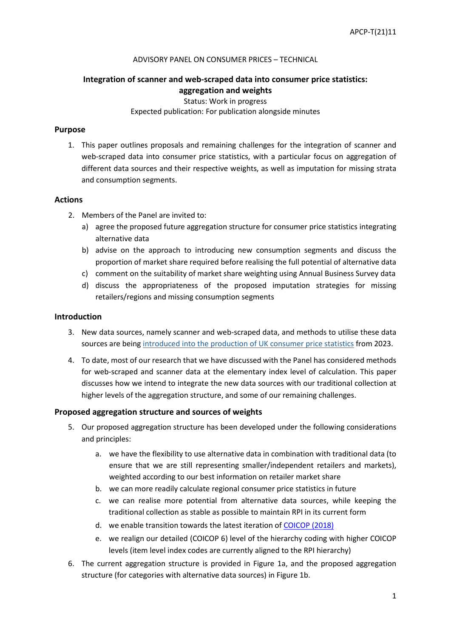#### ADVISORY PANEL ON CONSUMER PRICES – TECHNICAL

# **Integration of scanner and web-scraped data into consumer price statistics: aggregation and weights**

Status: Work in progress

### Expected publication: For publication alongside minutes

### **Purpose**

1. This paper outlines proposals and remaining challenges for the integration of scanner and web-scraped data into consumer price statistics, with a particular focus on aggregation of different data sources and their respective weights, as well as imputation for missing strata and consumption segments.

### **Actions**

- 2. Members of the Panel are invited to:
	- a) agree the proposed future aggregation structure for consumer price statistics integrating alternative data
	- b) advise on the approach to introducing new consumption segments and discuss the proportion of market share required before realising the full potential of alternative data
	- c) comment on the suitability of market share weighting using Annual Business Survey data
	- d) discuss the appropriateness of the proposed imputation strategies for missing retailers/regions and missing consumption segments

### **Introduction**

- 3. New data sources, namely scanner and web-scraped data, and methods to utilise these data sources are being [introduced into the production of UK consumer price statistics](https://www.ons.gov.uk/economy/inflationandpriceindices/articles/introducingalternativedatasourcesintoconsumerpricestatistics/may2020) from 2023.
- 4. To date, most of our research that we have discussed with the Panel has considered methods for web-scraped and scanner data at the elementary index level of calculation. This paper discusses how we intend to integrate the new data sources with our traditional collection at higher levels of the aggregation structure, and some of our remaining challenges.

### **Proposed aggregation structure and sources of weights**

- 5. Our proposed aggregation structure has been developed under the following considerations and principles:
	- a. we have the flexibility to use alternative data in combination with traditional data (to ensure that we are still representing smaller/independent retailers and markets), weighted according to our best information on retailer market share
	- b. we can more readily calculate regional consumer price statistics in future
	- c. we can realise more potential from alternative data sources, while keeping the traditional collection as stable as possible to maintain RPI in its current form
	- d. we enable transition towards the latest iteration o[f COICOP \(2018\)](https://unstats.un.org/unsd/classifications/unsdclassifications/COICOP_2018_-_pre-edited_white_cover_version_-_2018-12-26.pdf)
	- e. we realign our detailed (COICOP 6) level of the hierarchy coding with higher COICOP levels (item level index codes are currently aligned to the RPI hierarchy)
- 6. The current aggregation structure is provided in Figure 1a, and the proposed aggregation structure (for categories with alternative data sources) in Figure 1b.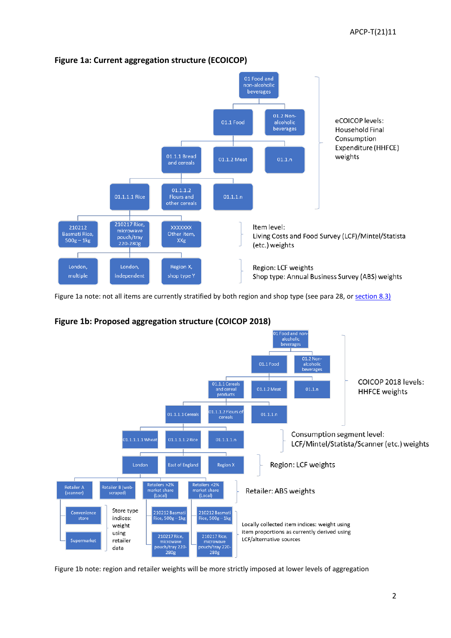

# **Figure 1a: Current aggregation structure (ECOICOP)**

Figure 1a note: not all items are currently stratified by both region and shop type (see para 28, or [section 8.3\)](https://www.ons.gov.uk/economy/inflationandpriceindices/methodologies/consumerpricesindicestechnicalmanual2019#weights)

# **Figure 1b: Proposed aggregation structure (COICOP 2018)**



Figure 1b note: region and retailer weights will be more strictly imposed at lower levels of aggregation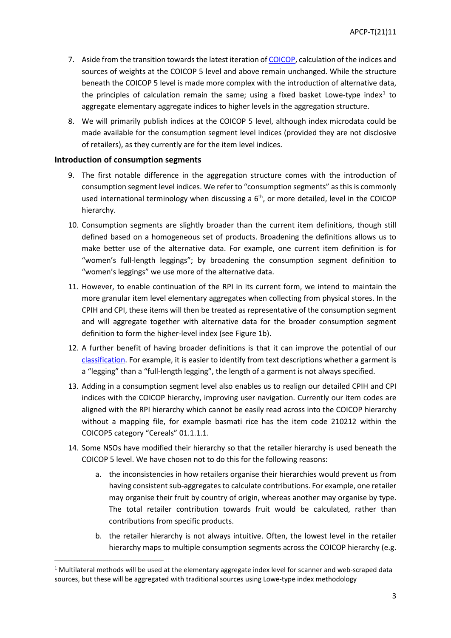- 7. Aside from the transition towards the latest iteration of [COICOP,](https://unstats.un.org/unsd/classifications/unsdclassifications/COICOP_2018_-_pre-edited_white_cover_version_-_2018-12-26.pdf) calculation of the indices and sources of weights at the COICOP 5 level and above remain unchanged. While the structure beneath the COICOP 5 level is made more complex with the introduction of alternative data, the principles of calculation remain the same; using a fixed basket Lowe-type index $1$  to aggregate elementary aggregate indices to higher levels in the aggregation structure.
- 8. We will primarily publish indices at the COICOP 5 level, although index microdata could be made available for the consumption segment level indices (provided they are not disclosive of retailers), as they currently are for the item level indices.

### **Introduction of consumption segments**

- 9. The first notable difference in the aggregation structure comes with the introduction of consumption segment level indices. We refer to "consumption segments" as this is commonly used international terminology when discussing a  $6<sup>th</sup>$ , or more detailed, level in the COICOP hierarchy.
- 10. Consumption segments are slightly broader than the current item definitions, though still defined based on a homogeneous set of products. Broadening the definitions allows us to make better use of the alternative data. For example, one current item definition is for "women's full-length leggings"; by broadening the consumption segment definition to "women's leggings" we use more of the alternative data.
- 11. However, to enable continuation of the RPI in its current form, we intend to maintain the more granular item level elementary aggregates when collecting from physical stores. In the CPIH and CPI, these items will then be treated as representative of the consumption segment and will aggregate together with alternative data for the broader consumption segment definition to form the higher-level index (see Figure 1b).
- 12. A further benefit of having broader definitions is that it can improve the potential of our [classification.](https://www.ons.gov.uk/economy/inflationandpriceindices/articles/automatedclassificationofwebscrapedclothingdatainconsumerpricestatistics/2020-09-01) For example, it is easier to identify from text descriptions whether a garment is a "legging" than a "full-length legging", the length of a garment is not always specified.
- 13. Adding in a consumption segment level also enables us to realign our detailed CPIH and CPI indices with the COICOP hierarchy, improving user navigation. Currently our item codes are aligned with the RPI hierarchy which cannot be easily read across into the COICOP hierarchy without a mapping file, for example basmati rice has the item code 210212 within the COICOP5 category "Cereals" 01.1.1.1.
- 14. Some NSOs have modified their hierarchy so that the retailer hierarchy is used beneath the COICOP 5 level. We have chosen not to do this for the following reasons:
	- a. the inconsistencies in how retailers organise their hierarchies would prevent us from having consistent sub-aggregates to calculate contributions. For example, one retailer may organise their fruit by country of origin, whereas another may organise by type. The total retailer contribution towards fruit would be calculated, rather than contributions from specific products.
	- b. the retailer hierarchy is not always intuitive. Often, the lowest level in the retailer hierarchy maps to multiple consumption segments across the COICOP hierarchy (e.g.

<span id="page-2-0"></span> $1$  Multilateral methods will be used at the elementary aggregate index level for scanner and web-scraped data sources, but these will be aggregated with traditional sources using Lowe-type index methodology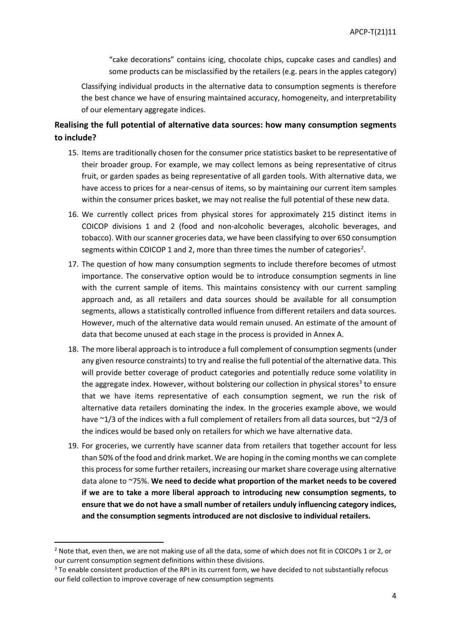"cake decorations" contains icing, chocolate chips, cupcake cases and candles) and some products can be misclassified by the retailers (e.g. pears in the apples category)

Classifying individual products in the alternative data to consumption segments is therefore the best chance we have of ensuring maintained accuracy, homogeneity, and interpretability of our elementary aggregate indices.

# **Realising the full potential of alternative data sources: how many consumption segments to include?**

- 15. Items are traditionally chosen for the consumer price statistics basket to be representative of their broader group. For example, we may collect lemons as being representative of citrus fruit, or garden spades as being representative of all garden tools. With alternative data, we have access to prices for a near-census of items, so by maintaining our current item samples within the consumer prices basket, we may not realise the full potential of these new data.
- 16. We currently collect prices from physical stores for approximately 215 distinct items in COICOP divisions 1 and 2 (food and non-alcoholic beverages, alcoholic beverages, and tobacco). With our scanner groceries data, we have been classifying to over 650 consumption segments within COICOP 1 and [2](#page-3-0), more than three times the number of categories<sup>2</sup>.
- 17. The question of how many consumption segments to include therefore becomes of utmost importance. The conservative option would be to introduce consumption segments in line with the current sample of items. This maintains consistency with our current sampling approach and, as all retailers and data sources should be available for all consumption segments, allows a statistically controlled influence from different retailers and data sources. However, much of the alternative data would remain unused. An estimate of the amount of data that become unused at each stage in the process is provided in Annex A.
- 18. The more liberal approach is to introduce a full complement of consumption segments (under any given resource constraints) to try and realise the full potential of the alternative data. This will provide better coverage of product categories and potentially reduce some volatility in the aggregate index. However, without bolstering our collection in physical stores<sup>[3](#page-3-1)</sup> to ensure that we have items representative of each consumption segment, we run the risk of alternative data retailers dominating the index. In the groceries example above, we would have ~1/3 of the indices with a full complement of retailers from all data sources, but ~2/3 of the indices would be based only on retailers for which we have alternative data.
- 19. For groceries, we currently have scanner data from retailers that together account for less than 50% of the food and drink market. We are hoping in the coming months we can complete this process for some further retailers, increasing our market share coverage using alternative data alone to ~75%. **We need to decide what proportion of the market needs to be covered if we are to take a more liberal approach to introducing new consumption segments, to ensure that we do not have a small number of retailers unduly influencing category indices, and the consumption segments introduced are not disclosive to individual retailers.**

<span id="page-3-0"></span><sup>&</sup>lt;sup>2</sup> Note that, even then, we are not making use of all the data, some of which does not fit in COICOPs 1 or 2, or our current consumption segment definitions within these divisions.

<span id="page-3-1"></span><sup>&</sup>lt;sup>3</sup> To enable consistent production of the RPI in its current form, we have decided to not substantially refocus our field collection to improve coverage of new consumption segments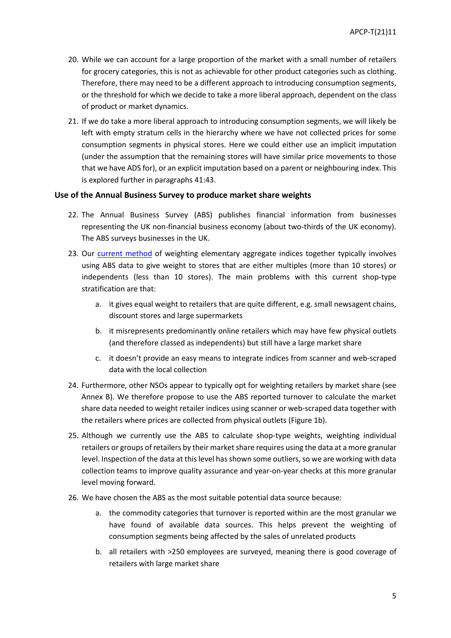- 20. While we can account for a large proportion of the market with a small number of retailers for grocery categories, this is not as achievable for other product categories such as clothing. Therefore, there may need to be a different approach to introducing consumption segments, or the threshold for which we decide to take a more liberal approach, dependent on the class of product or market dynamics.
- 21. If we do take a more liberal approach to introducing consumption segments, we will likely be left with empty stratum cells in the hierarchy where we have not collected prices for some consumption segments in physical stores. Here we could either use an implicit imputation (under the assumption that the remaining stores will have similar price movements to those that we have ADS for), or an explicit imputation based on a parent or neighbouring index. This is explored further in paragraphs 41:43.

### **Use of the Annual Business Survey to produce market share weights**

- 22. The Annual Business Survey (ABS) publishes financial information from businesses representing the UK non-financial business economy (about two-thirds of the UK economy). The ABS surveys businesses in the UK.
- 23. Our [current method](https://www.ons.gov.uk/economy/inflationandpriceindices/methodologies/consumerpricesindicestechnicalmanual2019#weights) of weighting elementary aggregate indices together typically involves using ABS data to give weight to stores that are either multiples (more than 10 stores) or independents (less than 10 stores). The main problems with this current shop-type stratification are that:
	- a. it gives equal weight to retailers that are quite different, e.g. small newsagent chains, discount stores and large supermarkets
	- b. it misrepresents predominantly online retailers which may have few physical outlets (and therefore classed as independents) but still have a large market share
	- c. it doesn't provide an easy means to integrate indices from scanner and web-scraped data with the local collection
- 24. Furthermore, other NSOs appear to typically opt for weighting retailers by market share (see Annex B). We therefore propose to use the ABS reported turnover to calculate the market share data needed to weight retailer indices using scanner or web-scraped data together with the retailers where prices are collected from physical outlets (Figure 1b).
- 25. Although we currently use the ABS to calculate shop-type weights, weighting individual retailers or groups of retailers by their market share requires using the data at a more granular level. Inspection of the data at this level has shown some outliers, so we are working with data collection teams to improve quality assurance and year-on-year checks at this more granular level moving forward.
- 26. We have chosen the ABS as the most suitable potential data source because:
	- a. the commodity categories that turnover is reported within are the most granular we have found of available data sources. This helps prevent the weighting of consumption segments being affected by the sales of unrelated products
	- b. all retailers with >250 employees are surveyed, meaning there is good coverage of retailers with large market share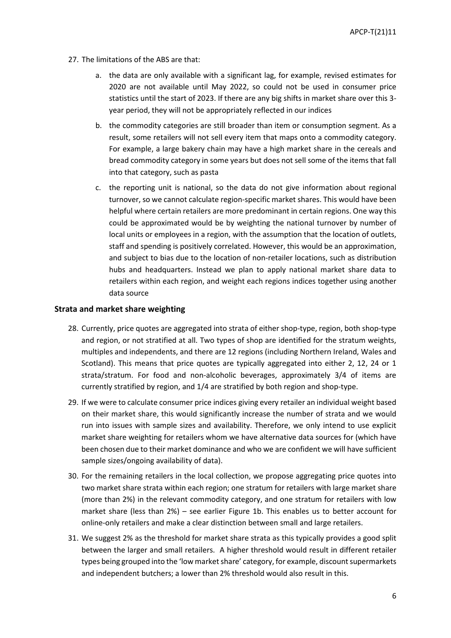- 27. The limitations of the ABS are that:
	- a. the data are only available with a significant lag, for example, revised estimates for 2020 are not available until May 2022, so could not be used in consumer price statistics until the start of 2023. If there are any big shifts in market share over this 3 year period, they will not be appropriately reflected in our indices
	- b. the commodity categories are still broader than item or consumption segment. As a result, some retailers will not sell every item that maps onto a commodity category. For example, a large bakery chain may have a high market share in the cereals and bread commodity category in some years but does not sell some of the items that fall into that category, such as pasta
	- c. the reporting unit is national, so the data do not give information about regional turnover, so we cannot calculate region-specific market shares. This would have been helpful where certain retailers are more predominant in certain regions. One way this could be approximated would be by weighting the national turnover by number of local units or employees in a region, with the assumption that the location of outlets, staff and spending is positively correlated. However, this would be an approximation, and subject to bias due to the location of non-retailer locations, such as distribution hubs and headquarters. Instead we plan to apply national market share data to retailers within each region, and weight each regions indices together using another data source

#### **Strata and market share weighting**

- 28. Currently, price quotes are aggregated into strata of either shop-type, region, both shop-type and region, or not stratified at all. Two types of shop are identified for the stratum weights, multiples and independents, and there are 12 regions (including Northern Ireland, Wales and Scotland). This means that price quotes are typically aggregated into either 2, 12, 24 or 1 strata/stratum. For food and non-alcoholic beverages, approximately 3/4 of items are currently stratified by region, and 1/4 are stratified by both region and shop-type.
- 29. If we were to calculate consumer price indices giving every retailer an individual weight based on their market share, this would significantly increase the number of strata and we would run into issues with sample sizes and availability. Therefore, we only intend to use explicit market share weighting for retailers whom we have alternative data sources for (which have been chosen due to their market dominance and who we are confident we will have sufficient sample sizes/ongoing availability of data).
- 30. For the remaining retailers in the local collection, we propose aggregating price quotes into two market share strata within each region; one stratum for retailers with large market share (more than 2%) in the relevant commodity category, and one stratum for retailers with low market share (less than 2%) – see earlier Figure 1b. This enables us to better account for online-only retailers and make a clear distinction between small and large retailers.
- 31. We suggest 2% as the threshold for market share strata as this typically provides a good split between the larger and small retailers. A higher threshold would result in different retailer types being grouped into the 'low market share' category, for example, discount supermarkets and independent butchers; a lower than 2% threshold would also result in this.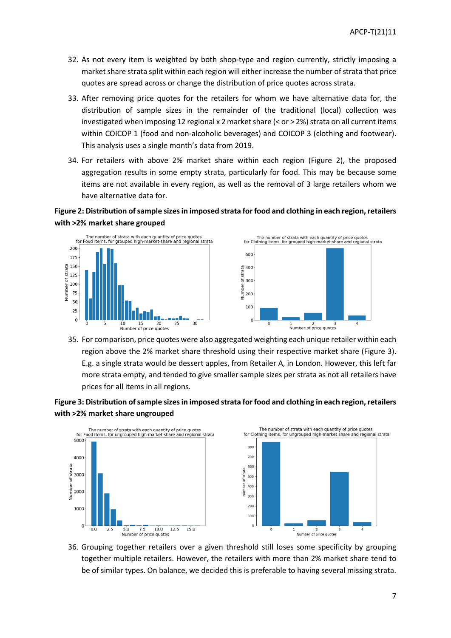- 32. As not every item is weighted by both shop-type and region currently, strictly imposing a market share strata split within each region will either increase the number of strata that price quotes are spread across or change the distribution of price quotes across strata.
- 33. After removing price quotes for the retailers for whom we have alternative data for, the distribution of sample sizes in the remainder of the traditional (local) collection was investigated when imposing 12 regional x 2 market share  $( $or$  > 2%) strata on all current items$ within COICOP 1 (food and non-alcoholic beverages) and COICOP 3 (clothing and footwear). This analysis uses a single month's data from 2019.
- 34. For retailers with above 2% market share within each region (Figure 2), the proposed aggregation results in some empty strata, particularly for food. This may be because some items are not available in every region, as well as the removal of 3 large retailers whom we have alternative data for.

## **Figure 2: Distribution of sample sizesin imposed strata for food and clothing in each region, retailers with >2% market share grouped**





35. For comparison, price quotes were also aggregated weighting each unique retailer within each region above the 2% market share threshold using their respective market share (Figure 3). E.g. a single strata would be dessert apples, from Retailer A, in London. However, this left far more strata empty, and tended to give smaller sample sizes per strata as not all retailers have prices for all items in all regions.

## **Figure 3: Distribution of sample sizes in imposed strata for food and clothing in each region, retailers with >2% market share ungrouped**



36. Grouping together retailers over a given threshold still loses some specificity by grouping together multiple retailers. However, the retailers with more than 2% market share tend to be of similar types. On balance, we decided this is preferable to having several missing strata.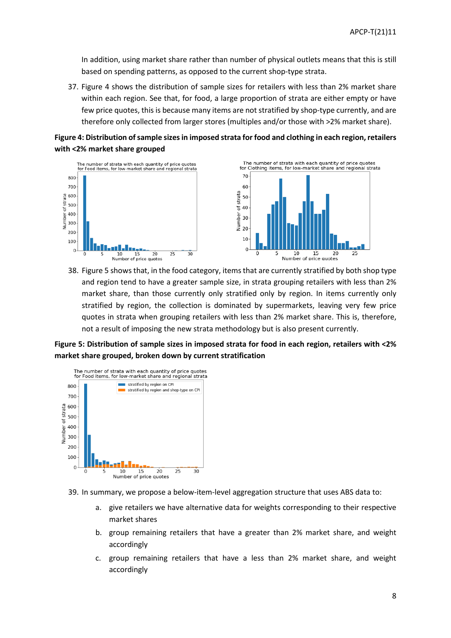In addition, using market share rather than number of physical outlets means that this is still based on spending patterns, as opposed to the current shop-type strata.

37. Figure 4 shows the distribution of sample sizes for retailers with less than 2% market share within each region. See that, for food, a large proportion of strata are either empty or have few price quotes, this is because many items are not stratified by shop-type currently, and are therefore only collected from larger stores (multiples and/or those with >2% market share).





38. Figure 5 shows that, in the food category, items that are currently stratified by both shop type and region tend to have a greater sample size, in strata grouping retailers with less than 2% market share, than those currently only stratified only by region. In items currently only stratified by region, the collection is dominated by supermarkets, leaving very few price quotes in strata when grouping retailers with less than 2% market share. This is, therefore, not a result of imposing the new strata methodology but is also present currently.

**Figure 5: Distribution of sample sizes in imposed strata for food in each region, retailers with <2% market share grouped, broken down by current stratification** 



- 39. In summary, we propose a below-item-level aggregation structure that uses ABS data to:
	- a. give retailers we have alternative data for weights corresponding to their respective market shares
	- b. group remaining retailers that have a greater than 2% market share, and weight accordingly
	- c. group remaining retailers that have a less than 2% market share, and weight accordingly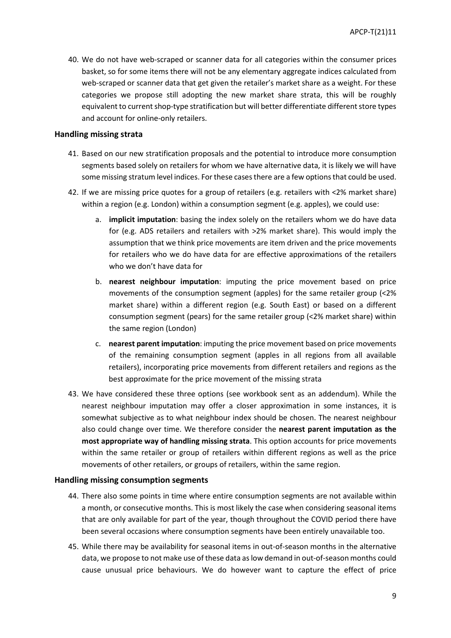40. We do not have web-scraped or scanner data for all categories within the consumer prices basket, so for some items there will not be any elementary aggregate indices calculated from web-scraped or scanner data that get given the retailer's market share as a weight. For these categories we propose still adopting the new market share strata, this will be roughly equivalent to current shop-type stratification but will better differentiate different store types and account for online-only retailers.

#### **Handling missing strata**

- 41. Based on our new stratification proposals and the potential to introduce more consumption segments based solely on retailers for whom we have alternative data, it is likely we will have some missing stratum level indices. For these cases there are a few options that could be used.
- 42. If we are missing price quotes for a group of retailers (e.g. retailers with <2% market share) within a region (e.g. London) within a consumption segment (e.g. apples), we could use:
	- a. **implicit imputation**: basing the index solely on the retailers whom we do have data for (e.g. ADS retailers and retailers with >2% market share). This would imply the assumption that we think price movements are item driven and the price movements for retailers who we do have data for are effective approximations of the retailers who we don't have data for
	- b. **nearest neighbour imputation**: imputing the price movement based on price movements of the consumption segment (apples) for the same retailer group (<2% market share) within a different region (e.g. South East) or based on a different consumption segment (pears) for the same retailer group (<2% market share) within the same region (London)
	- c. **nearest parent imputation**: imputing the price movement based on price movements of the remaining consumption segment (apples in all regions from all available retailers), incorporating price movements from different retailers and regions as the best approximate for the price movement of the missing strata
- 43. We have considered these three options (see workbook sent as an addendum). While the nearest neighbour imputation may offer a closer approximation in some instances, it is somewhat subjective as to what neighbour index should be chosen. The nearest neighbour also could change over time. We therefore consider the **nearest parent imputation as the most appropriate way of handling missing strata**. This option accounts for price movements within the same retailer or group of retailers within different regions as well as the price movements of other retailers, or groups of retailers, within the same region.

#### **Handling missing consumption segments**

- 44. There also some points in time where entire consumption segments are not available within a month, or consecutive months. This is most likely the case when considering seasonal items that are only available for part of the year, though throughout the COVID period there have been several occasions where consumption segments have been entirely unavailable too.
- 45. While there may be availability for seasonal items in out-of-season months in the alternative data, we propose to not make use of these data as low demand in out-of-season months could cause unusual price behaviours. We do however want to capture the effect of price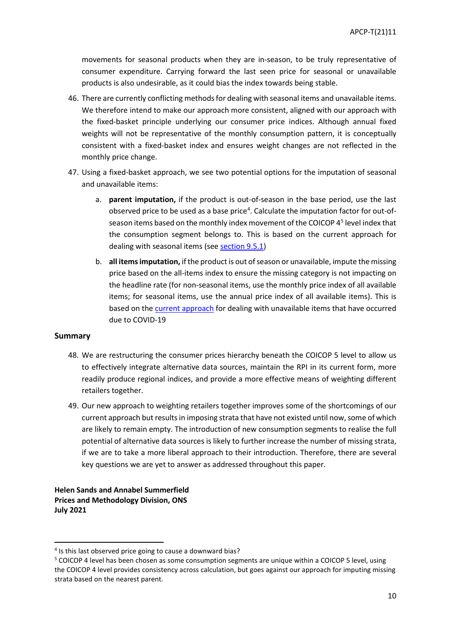movements for seasonal products when they are in-season, to be truly representative of consumer expenditure. Carrying forward the last seen price for seasonal or unavailable products is also undesirable, as it could bias the index towards being stable.

- 46. There are currently conflicting methods for dealing with seasonal items and unavailable items. We therefore intend to make our approach more consistent, aligned with our approach with the fixed-basket principle underlying our consumer price indices. Although annual fixed weights will not be representative of the monthly consumption pattern, it is conceptually consistent with a fixed-basket index and ensures weight changes are not reflected in the monthly price change.
- 47. Using a fixed-basket approach, we see two potential options for the imputation of seasonal and unavailable items:
	- a. **parent imputation,** if the product is out-of-season in the base period, use the last observed price to be used as a base price<sup>[4](#page-9-0)</sup>. Calculate the imputation factor for out-ofseason items based on the monthly index movement of the COICOP  $4<sup>5</sup>$  $4<sup>5</sup>$  $4<sup>5</sup>$  level index that the consumption segment belongs to. This is based on the current approach for dealing with seasonal items (see [section 9.5.1\)](https://www.ons.gov.uk/economy/inflationandpriceindices/methodologies/consumerpricesindicestechnicalmanual2019#special-issues-principles-and-procedures)
	- b. **all items imputation,** if the product is out of season or unavailable, impute the missing price based on the all-items index to ensure the missing category is not impacting on the headline rate (for non-seasonal items, use the monthly price index of all available items; for seasonal items, use the annual price index of all available items). This is based on th[e current approach](https://www.ons.gov.uk/economy/inflationandpriceindices/articles/coronavirusandtheeffectsonukprices/2020-05-06) for dealing with unavailable items that have occurred due to COVID-19

### **Summary**

- 48. We are restructuring the consumer prices hierarchy beneath the COICOP 5 level to allow us to effectively integrate alternative data sources, maintain the RPI in its current form, more readily produce regional indices, and provide a more effective means of weighting different retailers together.
- 49. Our new approach to weighting retailers together improves some of the shortcomings of our current approach but results in imposing strata that have not existed until now, some of which are likely to remain empty. The introduction of new consumption segments to realise the full potential of alternative data sources is likely to further increase the number of missing strata, if we are to take a more liberal approach to their introduction. Therefore, there are several key questions we are yet to answer as addressed throughout this paper.

**Helen Sands and Annabel Summerfield Prices and Methodology Division, ONS July 2021**

<span id="page-9-0"></span><sup>&</sup>lt;sup>4</sup> Is this last observed price going to cause a downward bias?

<span id="page-9-1"></span><sup>5</sup> COICOP 4 level has been chosen as some consumption segments are unique within a COICOP 5 level, using the COICOP 4 level provides consistency across calculation, but goes against our approach for imputing missing strata based on the nearest parent.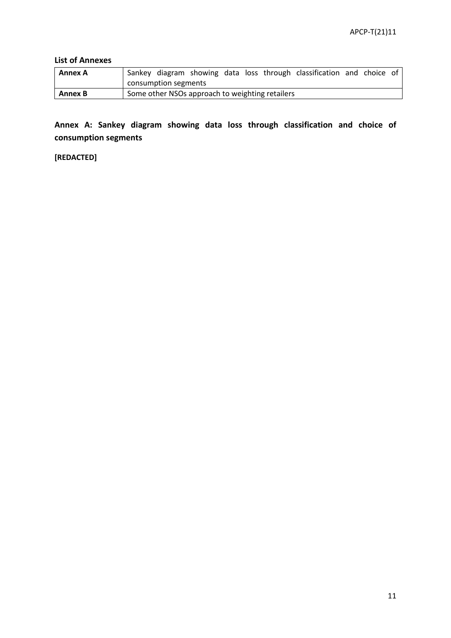## **List of Annexes**

| Annex A |                      |                                                 |  | Sankey diagram showing data loss through classification and choice of |  |  |
|---------|----------------------|-------------------------------------------------|--|-----------------------------------------------------------------------|--|--|
|         | consumption segments |                                                 |  |                                                                       |  |  |
| Annex B |                      | Some other NSOs approach to weighting retailers |  |                                                                       |  |  |

**Annex A: Sankey diagram showing data loss through classification and choice of consumption segments**

**[REDACTED]**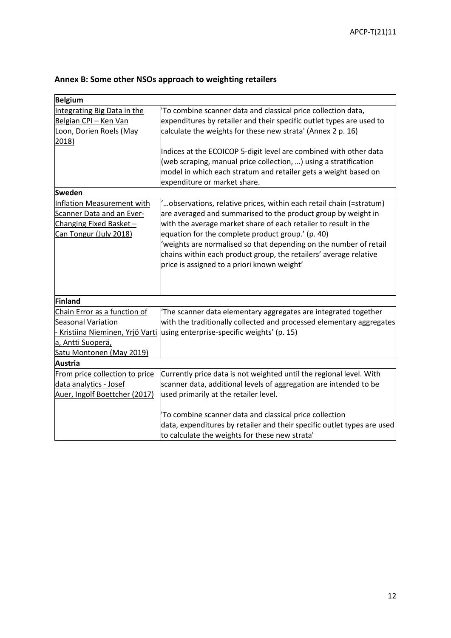|  |  | Annex B: Some other NSOs approach to weighting retailers |
|--|--|----------------------------------------------------------|
|--|--|----------------------------------------------------------|

| <b>Belgium</b>                                                                                                                        |                                                                                                                                                                                                                                                                                                                                                                                                                                                        |
|---------------------------------------------------------------------------------------------------------------------------------------|--------------------------------------------------------------------------------------------------------------------------------------------------------------------------------------------------------------------------------------------------------------------------------------------------------------------------------------------------------------------------------------------------------------------------------------------------------|
| Integrating Big Data in the                                                                                                           | To combine scanner data and classical price collection data,                                                                                                                                                                                                                                                                                                                                                                                           |
| Belgian CPI - Ken Van                                                                                                                 | expenditures by retailer and their specific outlet types are used to                                                                                                                                                                                                                                                                                                                                                                                   |
| Loon, Dorien Roels (May                                                                                                               | calculate the weights for these new strata' (Annex 2 p. 16)                                                                                                                                                                                                                                                                                                                                                                                            |
| 2018)                                                                                                                                 |                                                                                                                                                                                                                                                                                                                                                                                                                                                        |
|                                                                                                                                       | Indices at the ECOICOP 5-digit level are combined with other data<br>(web scraping, manual price collection, ) using a stratification<br>model in which each stratum and retailer gets a weight based on<br>expenditure or market share.                                                                                                                                                                                                               |
| <b>Sweden</b>                                                                                                                         |                                                                                                                                                                                                                                                                                                                                                                                                                                                        |
| <b>Inflation Measurement with</b><br>Scanner Data and an Ever-<br>Changing Fixed Basket-<br>Can Tongur (July 2018)                    | "observations, relative prices, within each retail chain (=stratum).<br>are averaged and summarised to the product group by weight in<br>with the average market share of each retailer to result in the<br>equation for the complete product group.' (p. 40)<br>'weights are normalised so that depending on the number of retail<br>chains within each product group, the retailers' average relative<br>price is assigned to a priori known weight' |
| Finland                                                                                                                               |                                                                                                                                                                                                                                                                                                                                                                                                                                                        |
| Chain Error as a function of<br>Seasonal Variation<br>Kristiina Nieminen, Yrjö Varti<br>a, Antti Suoperä,<br>Satu Montonen (May 2019) | The scanner data elementary aggregates are integrated together<br>with the traditionally collected and processed elementary aggregates<br>using enterprise-specific weights' (p. 15)                                                                                                                                                                                                                                                                   |
| Austria                                                                                                                               |                                                                                                                                                                                                                                                                                                                                                                                                                                                        |
| From price collection to price<br>data analytics - Josef<br>Auer, Ingolf Boettcher (2017)                                             | Currently price data is not weighted until the regional level. With<br>scanner data, additional levels of aggregation are intended to be<br>used primarily at the retailer level.                                                                                                                                                                                                                                                                      |
|                                                                                                                                       | To combine scanner data and classical price collection<br>data, expenditures by retailer and their specific outlet types are used<br>to calculate the weights for these new strata'                                                                                                                                                                                                                                                                    |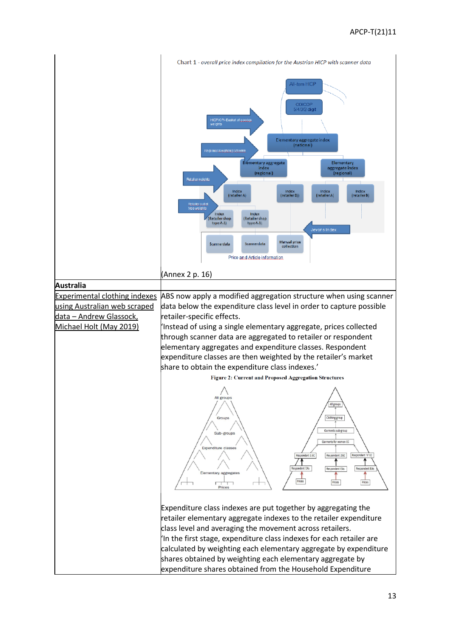